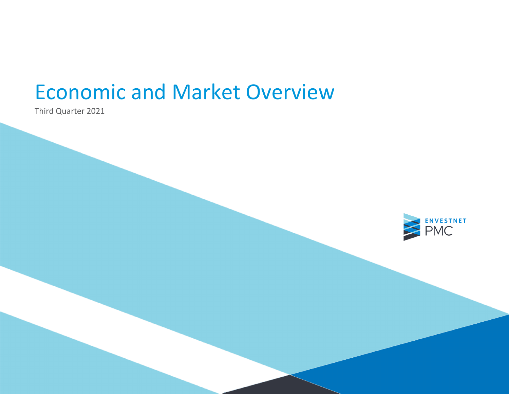Third Quarter 2021

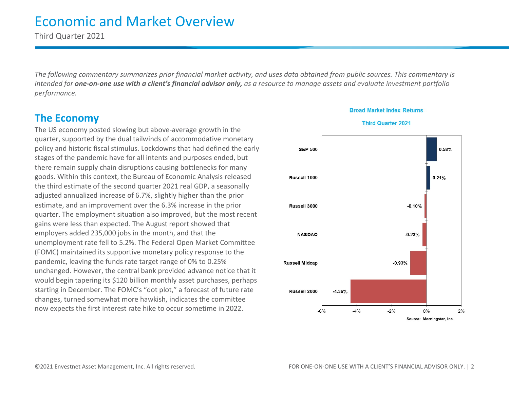Third Quarter 2021

*The following commentary summarizes prior financial market activity, and uses data obtained from public sources. This commentary is intended for one-on-one use with a client's financial advisor only, as a resource to manage assets and evaluate investment portfolio performance.*

### **The Economy**

The US economy posted slowing but above-average growth in the quarter, supported by the dual tailwinds of accommodative monetary policy and historic fiscal stimulus. Lockdowns that had defined the early stages of the pandemic have for all intents and purposes ended, but there remain supply chain disruptions causing bottlenecks for many goods. Within this context, the Bureau of Economic Analysis released the third estimate of the second quarter 2021 real GDP, a seasonally adjusted annualized increase of 6.7%, slightly higher than the prior estimate, and an improvement over the 6.3% increase in the prior quarter. The employment situation also improved, but the most recent gains were less than expected. The August report showed that employers added 235,000 jobs in the month, and that the unemployment rate fell to 5.2%. The Federal Open Market Committee (FOMC) maintained its supportive monetary policy response to the pandemic, leaving the funds rate target range of 0% to 0.25% unchanged. However, the central bank provided advance notice that it would begin tapering its \$120 billion monthly asset purchases, perhaps starting in December. The FOMC's "dot plot," a forecast of future rate changes, turned somewhat more hawkish, indicates the committee now expects the first interest rate hike to occur sometime in 2022.



### **Broad Market Index Returns**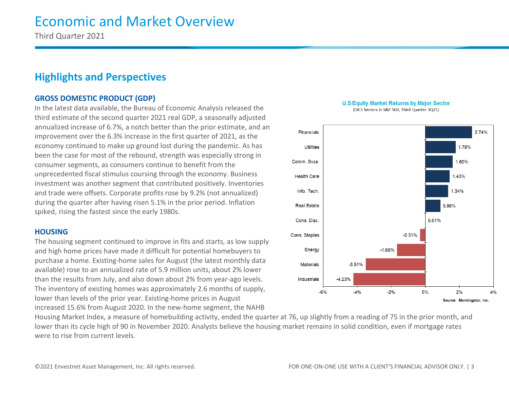Third Quarter 2021

### **Highlights and Perspectives**

#### **GROSS DOMESTIC PRODUCT (GDP)**

In the latest data available, the Bureau of Economic Analysis released the third estimate of the second quarter 2021 real GDP, a seasonally adjusted annualized increase of 6.7%, a notch better than the prior estimate, and an improvement over the 6.3% increase in the first quarter of 2021, as the economy continued to make up ground lost during the pandemic. As has been the case for most of the rebound, strength was especially strong in consumer segments, as consumers continue to benefit from the unprecedented fiscal stimulus coursing through the economy. Business investment was another segment that contributed positively. Inventories and trade were offsets. Corporate profits rose by 9.2% (not annualized) during the quarter after having risen 5.1% in the prior period. Inflation spiked, rising the fastest since the early 1980s.

#### **HOUSING**

The housing segment continued to improve in fits and starts, as low supply and high home prices have made it difficult for potential homebuyers to purchase a home. Existing-home sales for August (the latest monthly data available) rose to an annualized rate of 5.9 million units, about 2% lower than the results from July, and also down about 2% from year-ago levels. The inventory of existing homes was approximately 2.6 months of supply, lower than levels of the prior year. Existing-home prices in August increased 15.6% from August 2020. In the new-home segment, the NAHB

Housing Market Index, a measure of homebuilding activity, ended the quarter at 76, up slightly from a reading of 75 in the prior month, and lower than its cycle high of 90 in November 2020. Analysts believe the housing market remains in solid condition, even if mortgage rates were to rise from current levels.



(GICS Sectors in S&P 500, Third Quarter 3Q21)

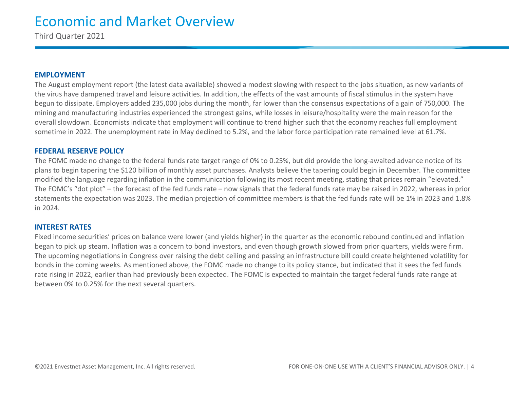Third Quarter 2021

#### **EMPLOYMENT**

The August employment report (the latest data available) showed a modest slowing with respect to the jobs situation, as new variants of the virus have dampened travel and leisure activities. In addition, the effects of the vast amounts of fiscal stimulus in the system have begun to dissipate. Employers added 235,000 jobs during the month, far lower than the consensus expectations of a gain of 750,000. The mining and manufacturing industries experienced the strongest gains, while losses in leisure/hospitality were the main reason for the overall slowdown. Economists indicate that employment will continue to trend higher such that the economy reaches full employment sometime in 2022. The unemployment rate in May declined to 5.2%, and the labor force participation rate remained level at 61.7%.

#### **FEDERAL RESERVE POLICY**

The FOMC made no change to the federal funds rate target range of 0% to 0.25%, but did provide the long-awaited advance notice of its plans to begin tapering the \$120 billion of monthly asset purchases. Analysts believe the tapering could begin in December. The committee modified the language regarding inflation in the communication following its most recent meeting, stating that prices remain "elevated." The FOMC's "dot plot" – the forecast of the fed funds rate – now signals that the federal funds rate may be raised in 2022, whereas in prior statements the expectation was 2023. The median projection of committee members is that the fed funds rate will be 1% in 2023 and 1.8% in 2024.

#### **INTEREST RATES**

Fixed income securities' prices on balance were lower (and yields higher) in the quarter as the economic rebound continued and inflation began to pick up steam. Inflation was a concern to bond investors, and even though growth slowed from prior quarters, yields were firm. The upcoming negotiations in Congress over raising the debt ceiling and passing an infrastructure bill could create heightened volatility for bonds in the coming weeks. As mentioned above, the FOMC made no change to its policy stance, but indicated that it sees the fed funds rate rising in 2022, earlier than had previously been expected. The FOMC is expected to maintain the target federal funds rate range at between 0% to 0.25% for the next several quarters.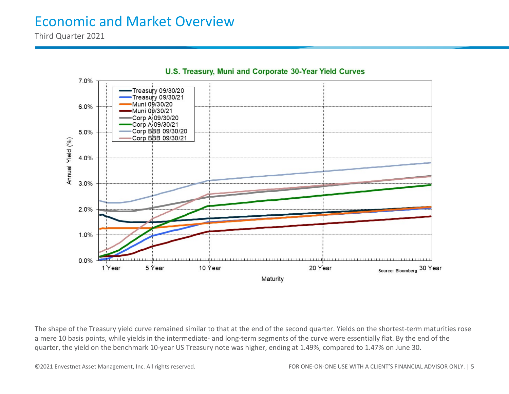Third Quarter 2021



U.S. Treasury, Muni and Corporate 30-Year Yield Curves

The shape of the Treasury yield curve remained similar to that at the end of the second quarter. Yields on the shortest-term maturities rose a mere 10 basis points, while yields in the intermediate- and long-term segments of the curve were essentially flat. By the end of the quarter, the yield on the benchmark 10-year US Treasury note was higher, ending at 1.49%, compared to 1.47% on June 30.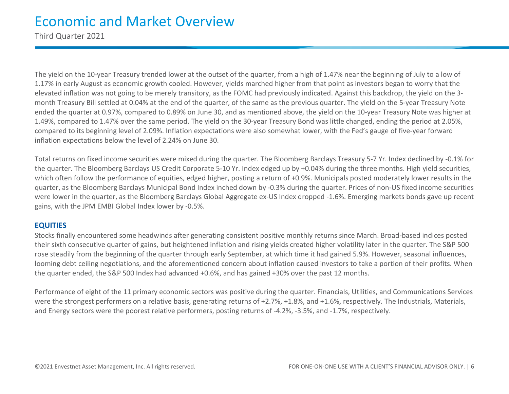Third Quarter 2021

The yield on the 10-year Treasury trended lower at the outset of the quarter, from a high of 1.47% near the beginning of July to a low of 1.17% in early August as economic growth cooled. However, yields marched higher from that point as investors began to worry that the elevated inflation was not going to be merely transitory, as the FOMC had previously indicated. Against this backdrop, the yield on the 3 month Treasury Bill settled at 0.04% at the end of the quarter, of the same as the previous quarter. The yield on the 5-year Treasury Note ended the quarter at 0.97%, compared to 0.89% on June 30, and as mentioned above, the yield on the 10-year Treasury Note was higher at 1.49%, compared to 1.47% over the same period. The yield on the 30-year Treasury Bond was little changed, ending the period at 2.05%, compared to its beginning level of 2.09%. Inflation expectations were also somewhat lower, with the Fed's gauge of five-year forward inflation expectations below the level of 2.24% on June 30.

Total returns on fixed income securities were mixed during the quarter. The Bloomberg Barclays Treasury 5-7 Yr. Index declined by -0.1% for the quarter. The Bloomberg Barclays US Credit Corporate 5-10 Yr. Index edged up by +0.04% during the three months. High yield securities, which often follow the performance of equities, edged higher, posting a return of +0.9%. Municipals posted moderately lower results in the quarter, as the Bloomberg Barclays Municipal Bond Index inched down by -0.3% during the quarter. Prices of non-US fixed income securities were lower in the quarter, as the Bloomberg Barclays Global Aggregate ex-US Index dropped -1.6%. Emerging markets bonds gave up recent gains, with the JPM EMBI Global Index lower by -0.5%.

#### **EQUITIES**

Stocks finally encountered some headwinds after generating consistent positive monthly returns since March. Broad-based indices posted their sixth consecutive quarter of gains, but heightened inflation and rising yields created higher volatility later in the quarter. The S&P 500 rose steadily from the beginning of the quarter through early September, at which time it had gained 5.9%. However, seasonal influences, looming debt ceiling negotiations, and the aforementioned concern about inflation caused investors to take a portion of their profits. When the quarter ended, the S&P 500 Index had advanced +0.6%, and has gained +30% over the past 12 months.

Performance of eight of the 11 primary economic sectors was positive during the quarter. Financials, Utilities, and Communications Services were the strongest performers on a relative basis, generating returns of +2.7%, +1.8%, and +1.6%, respectively. The Industrials, Materials, and Energy sectors were the poorest relative performers, posting returns of -4.2%, -3.5%, and -1.7%, respectively.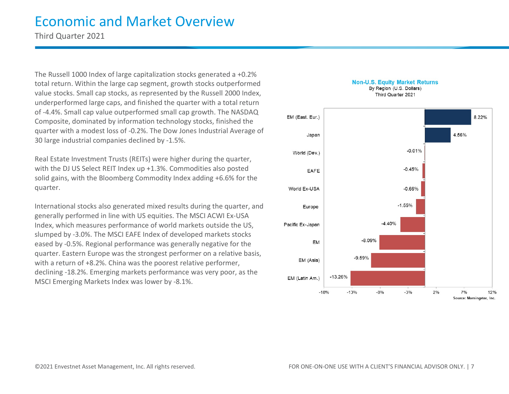Third Quarter 2021

The Russell 1000 Index of large capitalization stocks generated a +0.2% total return. Within the large cap segment, growth stocks outperformed value stocks. Small cap stocks, as represented by the Russell 2000 Index, underperformed large caps, and finished the quarter with a total return of -4.4%. Small cap value outperformed small cap growth. The NASDAQ Composite, dominated by information technology stocks, finished the quarter with a modest loss of -0.2%. The Dow Jones Industrial Average of 30 large industrial companies declined by -1.5%.

Real Estate Investment Trusts (REITs) were higher during the quarter, with the DJ US Select REIT Index up +1.3%. Commodities also posted solid gains, with the Bloomberg Commodity Index adding +6.6% for the quarter.

International stocks also generated mixed results during the quarter, and generally performed in line with US equities. The MSCI ACWI Ex-USA Index, which measures performance of world markets outside the US, slumped by -3.0%. The MSCI EAFE Index of developed markets stocks eased by -0.5%. Regional performance was generally negative for the quarter. Eastern Europe was the strongest performer on a relative basis, with a return of +8.2%. China was the poorest relative performer, declining -18.2%. Emerging markets performance was very poor, as the MSCI Emerging Markets Index was lower by -8.1%.

#### **Non-U.S. Equity Market Returns** By Region (U.S. Dollars)

Third Quarter 2021

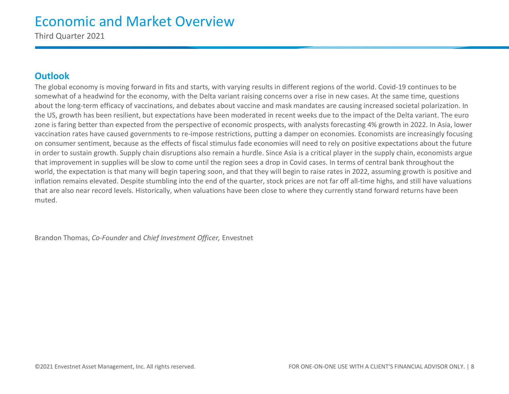Third Quarter 2021

### **Outlook**

The global economy is moving forward in fits and starts, with varying results in different regions of the world. Covid-19 continues to be somewhat of a headwind for the economy, with the Delta variant raising concerns over a rise in new cases. At the same time, questions about the long-term efficacy of vaccinations, and debates about vaccine and mask mandates are causing increased societal polarization. In the US, growth has been resilient, but expectations have been moderated in recent weeks due to the impact of the Delta variant. The euro zone is faring better than expected from the perspective of economic prospects, with analysts forecasting 4% growth in 2022. In Asia, lower vaccination rates have caused governments to re-impose restrictions, putting a damper on economies. Economists are increasingly focusing on consumer sentiment, because as the effects of fiscal stimulus fade economies will need to rely on positive expectations about the future in order to sustain growth. Supply chain disruptions also remain a hurdle. Since Asia is a critical player in the supply chain, economists argue that improvement in supplies will be slow to come until the region sees a drop in Covid cases. In terms of central bank throughout the world, the expectation is that many will begin tapering soon, and that they will begin to raise rates in 2022, assuming growth is positive and inflation remains elevated. Despite stumbling into the end of the quarter, stock prices are not far off all-time highs, and still have valuations that are also near record levels. Historically, when valuations have been close to where they currently stand forward returns have been muted.

Brandon Thomas, *Co-Founder* and *Chief Investment Officer,* Envestnet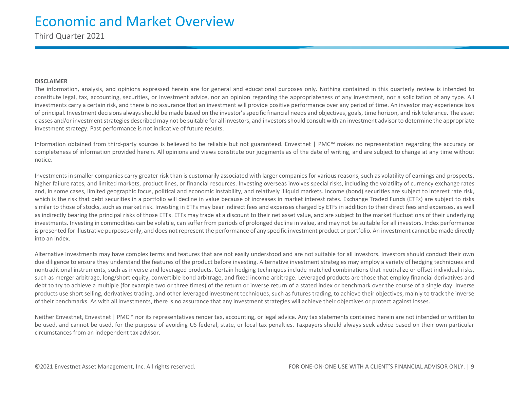Third Quarter 2021

#### **DISCLAIMER**

The information, analysis, and opinions expressed herein are for general and educational purposes only. Nothing contained in this quarterly review is intended to constitute legal, tax, accounting, securities, or investment advice, nor an opinion regarding the appropriateness of any investment, nor a solicitation of any type. All investments carry a certain risk, and there is no assurance that an investment will provide positive performance over any period of time. An investor may experience loss of principal. Investment decisions always should be made based on the investor's specific financial needs and objectives, goals, time horizon, and risk tolerance. The asset classes and/or investment strategies described may not be suitable for all investors, and investors should consult with an investment advisor to determine the appropriate investment strategy. Past performance is not indicative of future results.

Information obtained from third-party sources is believed to be reliable but not guaranteed. Envestnet | PMC™ makes no representation regarding the accuracy or completeness of information provided herein. All opinions and views constitute our judgments as of the date of writing, and are subject to change at any time without notice.

Investments in smaller companies carry greater risk than is customarily associated with larger companies for various reasons, such as volatility of earnings and prospects, higher failure rates, and limited markets, product lines, or financial resources. Investing overseas involves special risks, including the volatility of currency exchange rates and, in some cases, limited geographic focus, political and economic instability, and relatively illiquid markets. Income (bond) securities are subject to interest rate risk, which is the risk that debt securities in a portfolio will decline in value because of increases in market interest rates. Exchange Traded Funds (ETFs) are subject to risks similar to those of stocks, such as market risk. Investing in ETFs may bear indirect fees and expenses charged by ETFs in addition to their direct fees and expenses, as well as indirectly bearing the principal risks of those ETFs. ETFs may trade at a discount to their net asset value, and are subject to the market fluctuations of their underlying investments. Investing in commodities can be volatile, can suffer from periods of prolonged decline in value, and may not be suitable for all investors. Index performance is presented for illustrative purposes only, and does not represent the performance of any specific investment product or portfolio. An investment cannot be made directly into an index.

Alternative Investments may have complex terms and features that are not easily understood and are not suitable for all investors. Investors should conduct their own due diligence to ensure they understand the features of the product before investing. Alternative investment strategies may employ a variety of hedging techniques and nontraditional instruments, such as inverse and leveraged products. Certain hedging techniques include matched combinations that neutralize or offset individual risks, such as merger arbitrage, long/short equity, convertible bond arbitrage, and fixed income arbitrage. Leveraged products are those that employ financial derivatives and debt to try to achieve a multiple (for example two or three times) of the return or inverse return of a stated index or benchmark over the course of a single day. Inverse products use short selling, derivatives trading, and other leveraged investment techniques, such as futures trading, to achieve their objectives, mainly to track the inverse of their benchmarks. As with all investments, there is no assurance that any investment strategies will achieve their objectives or protect against losses.

Neither Envestnet, Envestnet | PMC™ nor its representatives render tax, accounting, or legal advice. Any tax statements contained herein are not intended or written to be used, and cannot be used, for the purpose of avoiding US federal, state, or local tax penalties. Taxpayers should always seek advice based on their own particular circumstances from an independent tax advisor.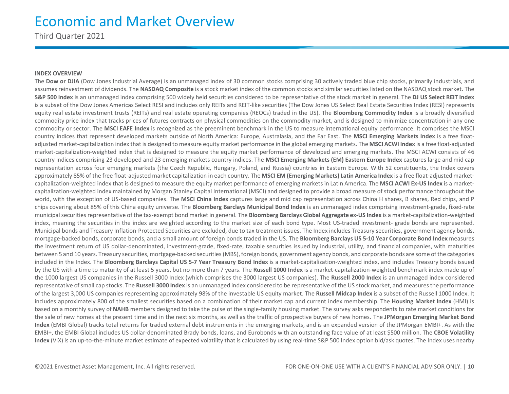Third Quarter 2021

#### **INDEX OVERVIEW**

The Dow or DJIA (Dow Jones Industrial Average) is an unmanaged index of 30 common stocks comprising 30 actively traded blue chip stocks, primarily industrials, and assumes reinvestment of dividends. The **NASDAQ Composite** is a stock market index of the common stocks and similar securities listed on the NASDAQ stock market. The **S&P 500 Index** is an unmanaged index comprising 500 widely held securities considered to be representative of the stock market in general. The **DJ US Select REIT Index** is a subset of the Dow Jones Americas Select RESI and includes only REITs and REIT-like securities (The Dow Jones US Select Real Estate Securities Index (RESI) represents equity real estate investment trusts (REITs) and real estate operating companies (REOCs) traded in the US). The **Bloomberg Commodity Index** is a broadly diversified commodity price index that tracks prices of futures contracts on physical commodities on the commodity market, and is designed to minimize concentration in any one commodity or sector. The **MSCI EAFE Index** is recognized as the preeminent benchmark in the US to measure international equity performance. It comprises the MSCI country indices that represent developed markets outside of North America: Europe, Australasia, and the Far East. The **MSCI Emerging Markets Index** is a free floatadjusted market-capitalization index that is designed to measure equity market performance in the global emerging markets. The **MSCI ACWI Index** is a free float-adjusted market-capitalization-weighted index that is designed to measure the equity market performance of developed and emerging markets. The MSCI ACWI consists of 46 country indices comprising 23 developed and 23 emerging markets country indices. The **MSCI Emerging Markets (EM) Eastern Europe Index** captures large and mid cap representation across four emerging markets (the Czech Republic, Hungary, Poland, and Russia) countries in Eastern Europe. With 52 constituents, the Index covers approximately 85% of the free float-adjusted market capitalization in each country. The **MSCI EM (Emerging Markets) Latin America Index** is a free float-adjusted marketcapitalization-weighted index that is designed to measure the equity market performance of emerging markets in Latin America. The **MSCI ACWI Ex-US Index** is a marketcapitalization-weighted index maintained by Morgan Stanley Capital International (MSCI) and designed to provide a broad measure of stock performance throughout the world, with the exception of US-based companies. The **MSCI China Index** captures large and mid cap representation across China H shares, B shares, Red chips, and P chips covering about 85% of this China equity universe. The **Bloomberg Barclays Municipal Bond Index** is an unmanaged index comprising investment-grade, fixed-rate municipal securities representative of the tax-exempt bond market in general. The **Bloomberg Barclays Global Aggregate ex-US Index** is a market-capitalization-weighted index, meaning the securities in the index are weighted according to the market size of each bond type. Most US-traded investment- grade bonds are represented. Municipal bonds and Treasury Inflation-Protected Securities are excluded, due to tax treatment issues. The Index includes Treasury securities, government agency bonds, mortgage-backed bonds, corporate bonds, and a small amount of foreign bonds traded in the US. The **Bloomberg Barclays US 5-10 Year Corporate Bond Index** measures the investment return of US dollar-denominated, investment-grade, fixed-rate, taxable securities issued by industrial, utility, and financial companies, with maturities between 5 and 10 years. Treasury securities, mortgage-backed securities (MBS), foreign bonds, government agency bonds, and corporate bonds are some of the categories included in the Index. The **Bloomberg Barclays Capital US 5-7 Year Treasury Bond Index** is a market-capitalization-weighted index, and includes Treasury bonds issued by the US with a time to maturity of at least 5 years, but no more than 7 years. The **Russell 1000 Index** is a market-capitalization-weighted benchmark index made up of the 1000 largest US companies in the Russell 3000 Index (which comprises the 3000 largest US companies). The **Russell 2000 Index** is an unmanaged index considered representative of small cap stocks. The **Russell 3000 Index** is an unmanaged index considered to be representative of the US stock market, and measures the performance of the largest 3,000 US companies representing approximately 98% of the investable US equity market. The **Russell Midcap Index** is a subset of the Russell 1000 Index. It includes approximately 800 of the smallest securities based on a combination of their market cap and current index membership. The **Housing Market Index** (HMI) is based on a monthly survey of **NAHB** members designed to take the pulse of the single-family housing market. The survey asks respondents to rate market conditions for the sale of new homes at the present time and in the next six months, as well as the traffic of prospective buyers of new homes. The **JPMorgan Emerging Market Bond Index** (EMBI Global) tracks total returns for traded external debt instruments in the emerging markets, and is an expanded version of the JPMorgan EMBI+. As with the EMBI+, the EMBI Global includes US dollar-denominated Brady bonds, loans, and Eurobonds with an outstanding face value of at least \$500 million. The **CBOE Volatility Index** (VIX) is an up-to-the-minute market estimate of expected volatility that is calculated by using real-time S&P 500 Index option bid/ask quotes. The Index uses nearby